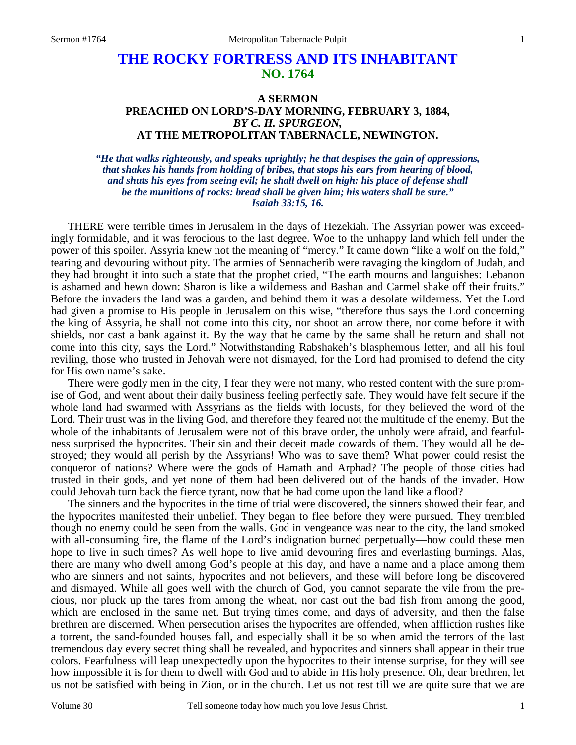# **THE ROCKY FORTRESS AND ITS INHABITANT NO. 1764**

## **A SERMON PREACHED ON LORD'S-DAY MORNING, FEBRUARY 3, 1884,**  *BY C. H. SPURGEON,*  **AT THE METROPOLITAN TABERNACLE, NEWINGTON.**

*"He that walks righteously, and speaks uprightly; he that despises the gain of oppressions, that shakes his hands from holding of bribes, that stops his ears from hearing of blood, and shuts his eyes from seeing evil; he shall dwell on high: his place of defense shall be the munitions of rocks: bread shall be given him; his waters shall be sure." Isaiah 33:15, 16.* 

THERE were terrible times in Jerusalem in the days of Hezekiah. The Assyrian power was exceedingly formidable, and it was ferocious to the last degree. Woe to the unhappy land which fell under the power of this spoiler. Assyria knew not the meaning of "mercy." It came down "like a wolf on the fold," tearing and devouring without pity. The armies of Sennacherib were ravaging the kingdom of Judah, and they had brought it into such a state that the prophet cried, "The earth mourns and languishes: Lebanon is ashamed and hewn down: Sharon is like a wilderness and Bashan and Carmel shake off their fruits." Before the invaders the land was a garden, and behind them it was a desolate wilderness. Yet the Lord had given a promise to His people in Jerusalem on this wise, "therefore thus says the Lord concerning the king of Assyria, he shall not come into this city, nor shoot an arrow there, nor come before it with shields, nor cast a bank against it. By the way that he came by the same shall he return and shall not come into this city, says the Lord." Notwithstanding Rabshakeh's blasphemous letter, and all his foul reviling, those who trusted in Jehovah were not dismayed, for the Lord had promised to defend the city for His own name's sake.

 There were godly men in the city, I fear they were not many, who rested content with the sure promise of God, and went about their daily business feeling perfectly safe. They would have felt secure if the whole land had swarmed with Assyrians as the fields with locusts, for they believed the word of the Lord. Their trust was in the living God, and therefore they feared not the multitude of the enemy. But the whole of the inhabitants of Jerusalem were not of this brave order, the unholy were afraid, and fearfulness surprised the hypocrites. Their sin and their deceit made cowards of them. They would all be destroyed; they would all perish by the Assyrians! Who was to save them? What power could resist the conqueror of nations? Where were the gods of Hamath and Arphad? The people of those cities had trusted in their gods, and yet none of them had been delivered out of the hands of the invader. How could Jehovah turn back the fierce tyrant, now that he had come upon the land like a flood?

 The sinners and the hypocrites in the time of trial were discovered, the sinners showed their fear, and the hypocrites manifested their unbelief. They began to flee before they were pursued. They trembled though no enemy could be seen from the walls. God in vengeance was near to the city, the land smoked with all-consuming fire, the flame of the Lord's indignation burned perpetually—how could these men hope to live in such times? As well hope to live amid devouring fires and everlasting burnings. Alas, there are many who dwell among God's people at this day, and have a name and a place among them who are sinners and not saints, hypocrites and not believers, and these will before long be discovered and dismayed. While all goes well with the church of God, you cannot separate the vile from the precious, nor pluck up the tares from among the wheat, nor cast out the bad fish from among the good, which are enclosed in the same net. But trying times come, and days of adversity, and then the false brethren are discerned. When persecution arises the hypocrites are offended, when affliction rushes like a torrent, the sand-founded houses fall, and especially shall it be so when amid the terrors of the last tremendous day every secret thing shall be revealed, and hypocrites and sinners shall appear in their true colors. Fearfulness will leap unexpectedly upon the hypocrites to their intense surprise, for they will see how impossible it is for them to dwell with God and to abide in His holy presence. Oh, dear brethren, let us not be satisfied with being in Zion, or in the church. Let us not rest till we are quite sure that we are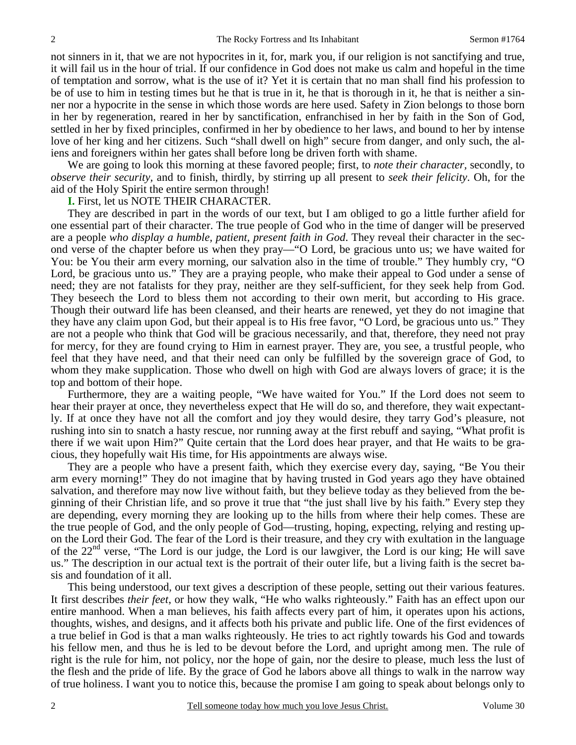not sinners in it, that we are not hypocrites in it, for, mark you, if our religion is not sanctifying and true, it will fail us in the hour of trial. If our confidence in God does not make us calm and hopeful in the time of temptation and sorrow, what is the use of it? Yet it is certain that no man shall find his profession to be of use to him in testing times but he that is true in it, he that is thorough in it, he that is neither a sinner nor a hypocrite in the sense in which those words are here used. Safety in Zion belongs to those born in her by regeneration, reared in her by sanctification, enfranchised in her by faith in the Son of God, settled in her by fixed principles, confirmed in her by obedience to her laws, and bound to her by intense love of her king and her citizens. Such "shall dwell on high" secure from danger, and only such, the aliens and foreigners within her gates shall before long be driven forth with shame.

 We are going to look this morning at these favored people; first, to *note their character,* secondly, to *observe their security,* and to finish, thirdly, by stirring up all present to *seek their felicity*. Oh, for the aid of the Holy Spirit the entire sermon through!

### **I.** First, let us NOTE THEIR CHARACTER.

 They are described in part in the words of our text, but I am obliged to go a little further afield for one essential part of their character. The true people of God who in the time of danger will be preserved are a people *who display a humble, patient, present faith in God*. They reveal their character in the second verse of the chapter before us when they pray—"O Lord, be gracious unto us; we have waited for You: be You their arm every morning, our salvation also in the time of trouble." They humbly cry, "O Lord, be gracious unto us." They are a praying people, who make their appeal to God under a sense of need; they are not fatalists for they pray, neither are they self-sufficient, for they seek help from God. They beseech the Lord to bless them not according to their own merit, but according to His grace. Though their outward life has been cleansed, and their hearts are renewed, yet they do not imagine that they have any claim upon God, but their appeal is to His free favor, "O Lord, be gracious unto us." They are not a people who think that God will be gracious necessarily, and that, therefore, they need not pray for mercy, for they are found crying to Him in earnest prayer. They are, you see, a trustful people, who feel that they have need, and that their need can only be fulfilled by the sovereign grace of God, to whom they make supplication. Those who dwell on high with God are always lovers of grace; it is the top and bottom of their hope.

 Furthermore, they are a waiting people, "We have waited for You." If the Lord does not seem to hear their prayer at once, they nevertheless expect that He will do so, and therefore, they wait expectantly. If at once they have not all the comfort and joy they would desire, they tarry God's pleasure, not rushing into sin to snatch a hasty rescue, nor running away at the first rebuff and saying, "What profit is there if we wait upon Him?" Quite certain that the Lord does hear prayer, and that He waits to be gracious, they hopefully wait His time, for His appointments are always wise.

 They are a people who have a present faith, which they exercise every day, saying, "Be You their arm every morning!" They do not imagine that by having trusted in God years ago they have obtained salvation, and therefore may now live without faith, but they believe today as they believed from the beginning of their Christian life, and so prove it true that "the just shall live by his faith." Every step they are depending, every morning they are looking up to the hills from where their help comes. These are the true people of God, and the only people of God—trusting, hoping, expecting, relying and resting upon the Lord their God. The fear of the Lord is their treasure, and they cry with exultation in the language of the  $22<sup>nd</sup>$  verse, "The Lord is our judge, the Lord is our lawgiver, the Lord is our king; He will save us." The description in our actual text is the portrait of their outer life, but a living faith is the secret basis and foundation of it all.

 This being understood, our text gives a description of these people, setting out their various features. It first describes *their feet*, or how they walk, "He who walks righteously." Faith has an effect upon our entire manhood. When a man believes, his faith affects every part of him, it operates upon his actions, thoughts, wishes, and designs, and it affects both his private and public life. One of the first evidences of a true belief in God is that a man walks righteously. He tries to act rightly towards his God and towards his fellow men, and thus he is led to be devout before the Lord, and upright among men. The rule of right is the rule for him, not policy, nor the hope of gain, nor the desire to please, much less the lust of the flesh and the pride of life. By the grace of God he labors above all things to walk in the narrow way of true holiness. I want you to notice this, because the promise I am going to speak about belongs only to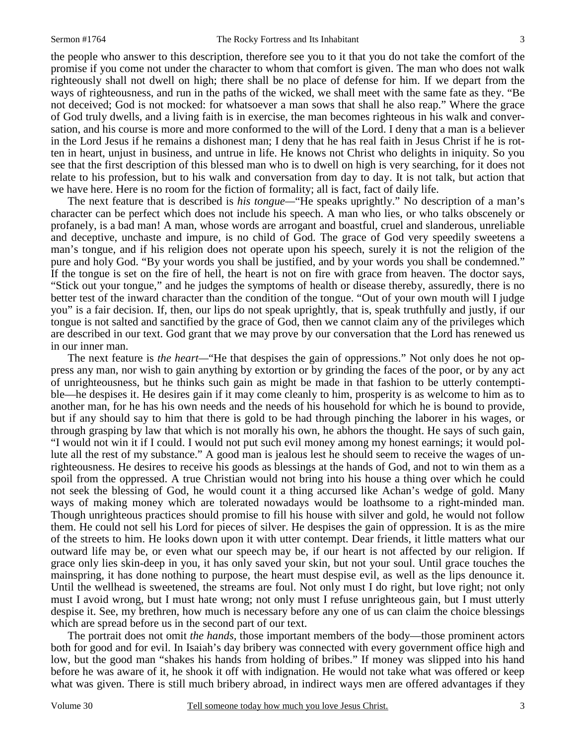the people who answer to this description, therefore see you to it that you do not take the comfort of the promise if you come not under the character to whom that comfort is given. The man who does not walk righteously shall not dwell on high; there shall be no place of defense for him. If we depart from the ways of righteousness, and run in the paths of the wicked, we shall meet with the same fate as they. "Be not deceived; God is not mocked: for whatsoever a man sows that shall he also reap." Where the grace of God truly dwells, and a living faith is in exercise, the man becomes righteous in his walk and conversation, and his course is more and more conformed to the will of the Lord. I deny that a man is a believer in the Lord Jesus if he remains a dishonest man; I deny that he has real faith in Jesus Christ if he is rotten in heart, unjust in business, and untrue in life. He knows not Christ who delights in iniquity. So you see that the first description of this blessed man who is to dwell on high is very searching, for it does not relate to his profession, but to his walk and conversation from day to day. It is not talk, but action that we have here. Here is no room for the fiction of formality; all is fact, fact of daily life.

 The next feature that is described is *his tongue—*"He speaks uprightly." No description of a man's character can be perfect which does not include his speech. A man who lies, or who talks obscenely or profanely, is a bad man! A man, whose words are arrogant and boastful, cruel and slanderous, unreliable and deceptive, unchaste and impure, is no child of God. The grace of God very speedily sweetens a man's tongue, and if his religion does not operate upon his speech, surely it is not the religion of the pure and holy God. "By your words you shall be justified, and by your words you shall be condemned." If the tongue is set on the fire of hell, the heart is not on fire with grace from heaven. The doctor says, "Stick out your tongue," and he judges the symptoms of health or disease thereby, assuredly, there is no better test of the inward character than the condition of the tongue. "Out of your own mouth will I judge you" is a fair decision. If, then, our lips do not speak uprightly, that is, speak truthfully and justly, if our tongue is not salted and sanctified by the grace of God, then we cannot claim any of the privileges which are described in our text. God grant that we may prove by our conversation that the Lord has renewed us in our inner man.

The next feature is *the heart*—"He that despises the gain of oppressions." Not only does he not oppress any man, nor wish to gain anything by extortion or by grinding the faces of the poor, or by any act of unrighteousness, but he thinks such gain as might be made in that fashion to be utterly contemptible—he despises it. He desires gain if it may come cleanly to him, prosperity is as welcome to him as to another man, for he has his own needs and the needs of his household for which he is bound to provide, but if any should say to him that there is gold to be had through pinching the laborer in his wages, or through grasping by law that which is not morally his own, he abhors the thought. He says of such gain, "I would not win it if I could. I would not put such evil money among my honest earnings; it would pollute all the rest of my substance." A good man is jealous lest he should seem to receive the wages of unrighteousness. He desires to receive his goods as blessings at the hands of God, and not to win them as a spoil from the oppressed. A true Christian would not bring into his house a thing over which he could not seek the blessing of God, he would count it a thing accursed like Achan's wedge of gold. Many ways of making money which are tolerated nowadays would be loathsome to a right-minded man. Though unrighteous practices should promise to fill his house with silver and gold, he would not follow them. He could not sell his Lord for pieces of silver. He despises the gain of oppression. It is as the mire of the streets to him. He looks down upon it with utter contempt. Dear friends, it little matters what our outward life may be, or even what our speech may be, if our heart is not affected by our religion. If grace only lies skin-deep in you, it has only saved your skin, but not your soul. Until grace touches the mainspring, it has done nothing to purpose, the heart must despise evil, as well as the lips denounce it. Until the wellhead is sweetened, the streams are foul. Not only must I do right, but love right; not only must I avoid wrong, but I must hate wrong; not only must I refuse unrighteous gain, but I must utterly despise it. See, my brethren, how much is necessary before any one of us can claim the choice blessings which are spread before us in the second part of our text.

 The portrait does not omit *the hands,* those important members of the body—those prominent actors both for good and for evil. In Isaiah's day bribery was connected with every government office high and low, but the good man "shakes his hands from holding of bribes." If money was slipped into his hand before he was aware of it, he shook it off with indignation. He would not take what was offered or keep what was given. There is still much bribery abroad, in indirect ways men are offered advantages if they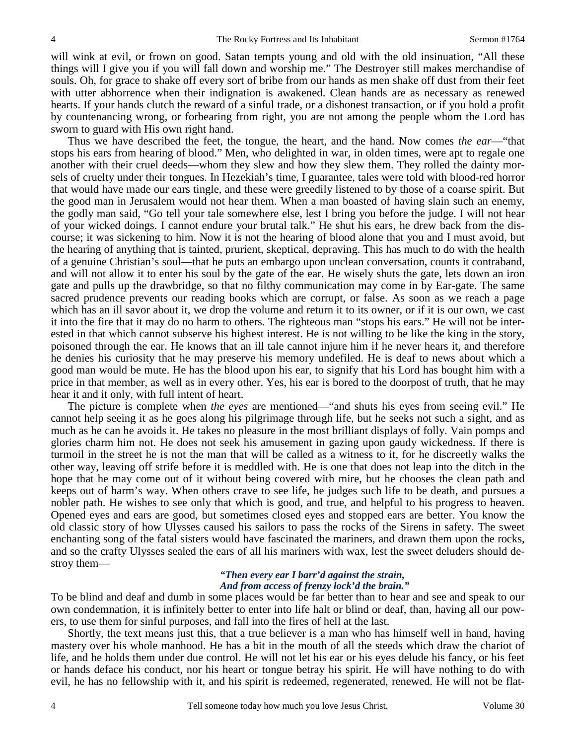will wink at evil, or frown on good. Satan tempts young and old with the old insinuation, "All these things will I give you if you will fall down and worship me." The Destroyer still makes merchandise of souls. Oh, for grace to shake off every sort of bribe from our hands as men shake off dust from their feet with utter abhorrence when their indignation is awakened. Clean hands are as necessary as renewed hearts. If your hands clutch the reward of a sinful trade, or a dishonest transaction, or if you hold a profit by countenancing wrong, or forbearing from right, you are not among the people whom the Lord has sworn to guard with His own right hand.

 Thus we have described the feet, the tongue, the heart, and the hand. Now comes *the ear*—"that stops his ears from hearing of blood." Men, who delighted in war, in olden times, were apt to regale one another with their cruel deeds—whom they slew and how they slew them. They rolled the dainty morsels of cruelty under their tongues. In Hezekiah's time, I guarantee, tales were told with blood-red horror that would have made our ears tingle, and these were greedily listened to by those of a coarse spirit. But the good man in Jerusalem would not hear them. When a man boasted of having slain such an enemy, the godly man said, "Go tell your tale somewhere else, lest I bring you before the judge. I will not hear of your wicked doings. I cannot endure your brutal talk." He shut his ears, he drew back from the discourse; it was sickening to him. Now it is not the hearing of blood alone that you and I must avoid, but the hearing of anything that is tainted, prurient, skeptical, depraving. This has much to do with the health of a genuine Christian's soul—that he puts an embargo upon unclean conversation, counts it contraband, and will not allow it to enter his soul by the gate of the ear. He wisely shuts the gate, lets down an iron gate and pulls up the drawbridge, so that no filthy communication may come in by Ear-gate. The same sacred prudence prevents our reading books which are corrupt, or false. As soon as we reach a page which has an ill savor about it, we drop the volume and return it to its owner, or if it is our own, we cast it into the fire that it may do no harm to others. The righteous man "stops his ears." He will not be interested in that which cannot subserve his highest interest. He is not willing to be like the king in the story, poisoned through the ear. He knows that an ill tale cannot injure him if he never hears it, and therefore he denies his curiosity that he may preserve his memory undefiled. He is deaf to news about which a good man would be mute. He has the blood upon his ear, to signify that his Lord has bought him with a price in that member, as well as in every other. Yes, his ear is bored to the doorpost of truth, that he may hear it and it only, with full intent of heart.

 The picture is complete when *the eyes* are mentioned—"and shuts his eyes from seeing evil." He cannot help seeing it as he goes along his pilgrimage through life, but he seeks not such a sight, and as much as he can he avoids it. He takes no pleasure in the most brilliant displays of folly. Vain pomps and glories charm him not. He does not seek his amusement in gazing upon gaudy wickedness. If there is turmoil in the street he is not the man that will be called as a witness to it, for he discreetly walks the other way, leaving off strife before it is meddled with. He is one that does not leap into the ditch in the hope that he may come out of it without being covered with mire, but he chooses the clean path and keeps out of harm's way. When others crave to see life, he judges such life to be death, and pursues a nobler path. He wishes to see only that which is good, and true, and helpful to his progress to heaven. Opened eyes and ears are good, but sometimes closed eyes and stopped ears are better. You know the old classic story of how Ulysses caused his sailors to pass the rocks of the Sirens in safety. The sweet enchanting song of the fatal sisters would have fascinated the mariners, and drawn them upon the rocks, and so the crafty Ulysses sealed the ears of all his mariners with wax, lest the sweet deluders should destroy them—

#### *"Then every ear I barr'd against the strain, And from access of frenzy lock'd the brain."*

To be blind and deaf and dumb in some places would be far better than to hear and see and speak to our own condemnation, it is infinitely better to enter into life halt or blind or deaf, than, having all our powers, to use them for sinful purposes, and fall into the fires of hell at the last.

 Shortly, the text means just this, that a true believer is a man who has himself well in hand, having mastery over his whole manhood. He has a bit in the mouth of all the steeds which draw the chariot of life, and he holds them under due control. He will not let his ear or his eyes delude his fancy, or his feet or hands deface his conduct, nor his heart or tongue betray his spirit. He will have nothing to do with evil, he has no fellowship with it, and his spirit is redeemed, regenerated, renewed. He will not be flat-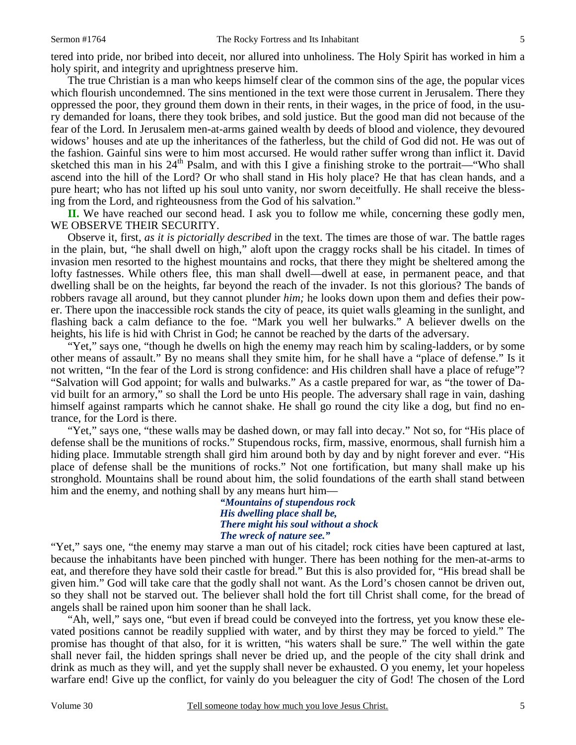The true Christian is a man who keeps himself clear of the common sins of the age, the popular vices which flourish uncondemned. The sins mentioned in the text were those current in Jerusalem. There they oppressed the poor, they ground them down in their rents, in their wages, in the price of food, in the usury demanded for loans, there they took bribes, and sold justice. But the good man did not because of the fear of the Lord. In Jerusalem men-at-arms gained wealth by deeds of blood and violence, they devoured widows' houses and ate up the inheritances of the fatherless, but the child of God did not. He was out of the fashion. Gainful sins were to him most accursed. He would rather suffer wrong than inflict it. David sketched this man in his  $24<sup>th</sup>$  Psalm, and with this I give a finishing stroke to the portrait—"Who shall ascend into the hill of the Lord? Or who shall stand in His holy place? He that has clean hands, and a pure heart; who has not lifted up his soul unto vanity, nor sworn deceitfully. He shall receive the blessing from the Lord, and righteousness from the God of his salvation."

**II.** We have reached our second head. I ask you to follow me while, concerning these godly men, WE OBSERVE THEIR SECURITY.

 Observe it, first, *as it is pictorially described* in the text. The times are those of war. The battle rages in the plain, but, "he shall dwell on high," aloft upon the craggy rocks shall be his citadel. In times of invasion men resorted to the highest mountains and rocks, that there they might be sheltered among the lofty fastnesses. While others flee, this man shall dwell—dwell at ease, in permanent peace, and that dwelling shall be on the heights, far beyond the reach of the invader. Is not this glorious? The bands of robbers ravage all around, but they cannot plunder *him;* he looks down upon them and defies their power. There upon the inaccessible rock stands the city of peace, its quiet walls gleaming in the sunlight, and flashing back a calm defiance to the foe. "Mark you well her bulwarks." A believer dwells on the heights, his life is hid with Christ in God; he cannot be reached by the darts of the adversary.

 "Yet," says one, "though he dwells on high the enemy may reach him by scaling-ladders, or by some other means of assault." By no means shall they smite him, for he shall have a "place of defense." Is it not written, "In the fear of the Lord is strong confidence: and His children shall have a place of refuge"? "Salvation will God appoint; for walls and bulwarks." As a castle prepared for war, as "the tower of David built for an armory," so shall the Lord be unto His people. The adversary shall rage in vain, dashing himself against ramparts which he cannot shake. He shall go round the city like a dog, but find no entrance, for the Lord is there.

 "Yet," says one, "these walls may be dashed down, or may fall into decay." Not so, for "His place of defense shall be the munitions of rocks." Stupendous rocks, firm, massive, enormous, shall furnish him a hiding place. Immutable strength shall gird him around both by day and by night forever and ever. "His place of defense shall be the munitions of rocks." Not one fortification, but many shall make up his stronghold. Mountains shall be round about him, the solid foundations of the earth shall stand between him and the enemy, and nothing shall by any means hurt him—

> *"Mountains of stupendous rock His dwelling place shall be, There might his soul without a shock The wreck of nature see."*

"Yet," says one, "the enemy may starve a man out of his citadel; rock cities have been captured at last, because the inhabitants have been pinched with hunger. There has been nothing for the men-at-arms to eat, and therefore they have sold their castle for bread." But this is also provided for, "His bread shall be given him." God will take care that the godly shall not want. As the Lord's chosen cannot be driven out, so they shall not be starved out. The believer shall hold the fort till Christ shall come, for the bread of angels shall be rained upon him sooner than he shall lack.

 "Ah, well," says one, "but even if bread could be conveyed into the fortress, yet you know these elevated positions cannot be readily supplied with water, and by thirst they may be forced to yield." The promise has thought of that also, for it is written, "his waters shall be sure." The well within the gate shall never fail, the hidden springs shall never be dried up, and the people of the city shall drink and drink as much as they will, and yet the supply shall never be exhausted. O you enemy, let your hopeless warfare end! Give up the conflict, for vainly do you beleaguer the city of God! The chosen of the Lord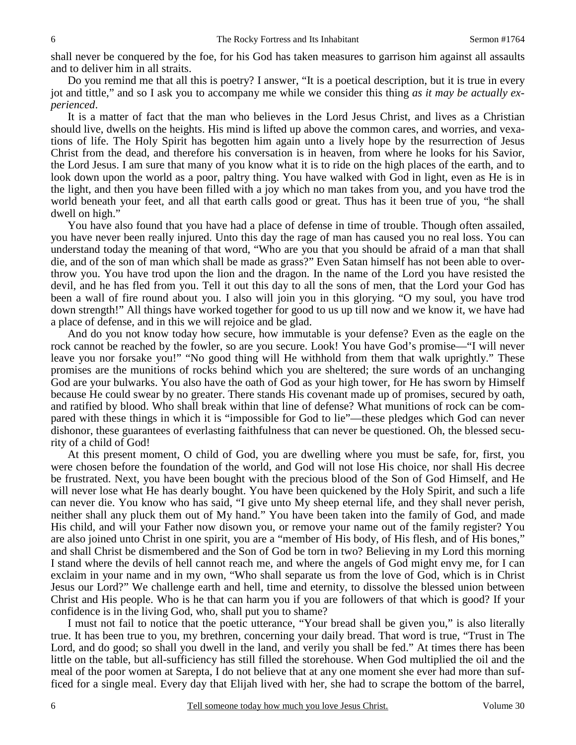shall never be conquered by the foe, for his God has taken measures to garrison him against all assaults and to deliver him in all straits.

 Do you remind me that all this is poetry? I answer, "It is a poetical description, but it is true in every jot and tittle," and so I ask you to accompany me while we consider this thing *as it may be actually experienced*.

 It is a matter of fact that the man who believes in the Lord Jesus Christ, and lives as a Christian should live, dwells on the heights. His mind is lifted up above the common cares, and worries, and vexations of life. The Holy Spirit has begotten him again unto a lively hope by the resurrection of Jesus Christ from the dead, and therefore his conversation is in heaven, from where he looks for his Savior, the Lord Jesus. I am sure that many of you know what it is to ride on the high places of the earth, and to look down upon the world as a poor, paltry thing. You have walked with God in light, even as He is in the light, and then you have been filled with a joy which no man takes from you, and you have trod the world beneath your feet, and all that earth calls good or great. Thus has it been true of you, "he shall dwell on high."

 You have also found that you have had a place of defense in time of trouble. Though often assailed, you have never been really injured. Unto this day the rage of man has caused you no real loss. You can understand today the meaning of that word, "Who are you that you should be afraid of a man that shall die, and of the son of man which shall be made as grass?" Even Satan himself has not been able to overthrow you. You have trod upon the lion and the dragon. In the name of the Lord you have resisted the devil, and he has fled from you. Tell it out this day to all the sons of men, that the Lord your God has been a wall of fire round about you. I also will join you in this glorying. "O my soul, you have trod down strength!" All things have worked together for good to us up till now and we know it, we have had a place of defense, and in this we will rejoice and be glad.

 And do you not know today how secure, how immutable is your defense? Even as the eagle on the rock cannot be reached by the fowler, so are you secure. Look! You have God's promise—"I will never leave you nor forsake you!" "No good thing will He withhold from them that walk uprightly." These promises are the munitions of rocks behind which you are sheltered; the sure words of an unchanging God are your bulwarks. You also have the oath of God as your high tower, for He has sworn by Himself because He could swear by no greater. There stands His covenant made up of promises, secured by oath, and ratified by blood. Who shall break within that line of defense? What munitions of rock can be compared with these things in which it is "impossible for God to lie"—these pledges which God can never dishonor, these guarantees of everlasting faithfulness that can never be questioned. Oh, the blessed security of a child of God!

 At this present moment, O child of God, you are dwelling where you must be safe, for, first, you were chosen before the foundation of the world, and God will not lose His choice, nor shall His decree be frustrated. Next, you have been bought with the precious blood of the Son of God Himself, and He will never lose what He has dearly bought. You have been quickened by the Holy Spirit, and such a life can never die. You know who has said, "I give unto My sheep eternal life, and they shall never perish, neither shall any pluck them out of My hand." You have been taken into the family of God, and made His child, and will your Father now disown you, or remove your name out of the family register? You are also joined unto Christ in one spirit, you are a "member of His body, of His flesh, and of His bones," and shall Christ be dismembered and the Son of God be torn in two? Believing in my Lord this morning I stand where the devils of hell cannot reach me, and where the angels of God might envy me, for I can exclaim in your name and in my own, "Who shall separate us from the love of God, which is in Christ Jesus our Lord?" We challenge earth and hell, time and eternity, to dissolve the blessed union between Christ and His people. Who is he that can harm you if you are followers of that which is good? If your confidence is in the living God, who, shall put you to shame?

 I must not fail to notice that the poetic utterance, "Your bread shall be given you," is also literally true. It has been true to you, my brethren, concerning your daily bread. That word is true, "Trust in The Lord, and do good; so shall you dwell in the land, and verily you shall be fed." At times there has been little on the table, but all-sufficiency has still filled the storehouse. When God multiplied the oil and the meal of the poor women at Sarepta, I do not believe that at any one moment she ever had more than sufficed for a single meal. Every day that Elijah lived with her, she had to scrape the bottom of the barrel,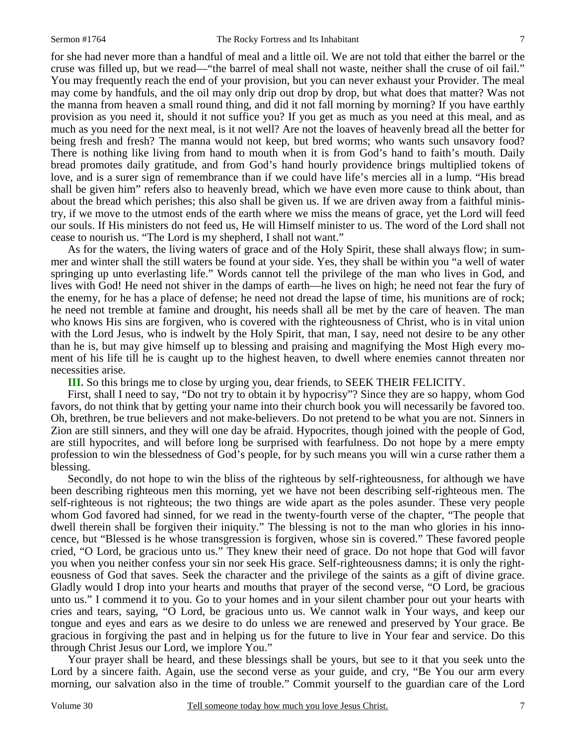for she had never more than a handful of meal and a little oil. We are not told that either the barrel or the cruse was filled up, but we read—"the barrel of meal shall not waste, neither shall the cruse of oil fail." You may frequently reach the end of your provision, but you can never exhaust your Provider. The meal may come by handfuls, and the oil may only drip out drop by drop, but what does that matter? Was not the manna from heaven a small round thing, and did it not fall morning by morning? If you have earthly provision as you need it, should it not suffice you? If you get as much as you need at this meal, and as much as you need for the next meal, is it not well? Are not the loaves of heavenly bread all the better for being fresh and fresh? The manna would not keep, but bred worms; who wants such unsavory food? There is nothing like living from hand to mouth when it is from God's hand to faith's mouth. Daily bread promotes daily gratitude, and from God's hand hourly providence brings multiplied tokens of love, and is a surer sign of remembrance than if we could have life's mercies all in a lump. "His bread shall be given him" refers also to heavenly bread, which we have even more cause to think about, than about the bread which perishes; this also shall be given us. If we are driven away from a faithful ministry, if we move to the utmost ends of the earth where we miss the means of grace, yet the Lord will feed our souls. If His ministers do not feed us, He will Himself minister to us. The word of the Lord shall not cease to nourish us. "The Lord is my shepherd, I shall not want."

 As for the waters, the living waters of grace and of the Holy Spirit, these shall always flow; in summer and winter shall the still waters be found at your side. Yes, they shall be within you "a well of water springing up unto everlasting life." Words cannot tell the privilege of the man who lives in God, and lives with God! He need not shiver in the damps of earth—he lives on high; he need not fear the fury of the enemy, for he has a place of defense; he need not dread the lapse of time, his munitions are of rock; he need not tremble at famine and drought, his needs shall all be met by the care of heaven. The man who knows His sins are forgiven, who is covered with the righteousness of Christ, who is in vital union with the Lord Jesus, who is indwelt by the Holy Spirit, that man, I say, need not desire to be any other than he is, but may give himself up to blessing and praising and magnifying the Most High every moment of his life till he is caught up to the highest heaven, to dwell where enemies cannot threaten nor necessities arise.

**III.** So this brings me to close by urging you, dear friends, to SEEK THEIR FELICITY.

 First, shall I need to say, "Do not try to obtain it by hypocrisy"? Since they are so happy, whom God favors, do not think that by getting your name into their church book you will necessarily be favored too. Oh, brethren, be true believers and not make-believers. Do not pretend to be what you are not. Sinners in Zion are still sinners, and they will one day be afraid. Hypocrites, though joined with the people of God, are still hypocrites, and will before long be surprised with fearfulness. Do not hope by a mere empty profession to win the blessedness of God's people, for by such means you will win a curse rather them a blessing.

 Secondly, do not hope to win the bliss of the righteous by self-righteousness, for although we have been describing righteous men this morning, yet we have not been describing self-righteous men. The self-righteous is not righteous; the two things are wide apart as the poles asunder. These very people whom God favored had sinned, for we read in the twenty-fourth verse of the chapter, "The people that dwell therein shall be forgiven their iniquity." The blessing is not to the man who glories in his innocence, but "Blessed is he whose transgression is forgiven, whose sin is covered." These favored people cried, "O Lord, be gracious unto us." They knew their need of grace. Do not hope that God will favor you when you neither confess your sin nor seek His grace. Self-righteousness damns; it is only the righteousness of God that saves. Seek the character and the privilege of the saints as a gift of divine grace. Gladly would I drop into your hearts and mouths that prayer of the second verse, "O Lord, be gracious unto us." I commend it to you. Go to your homes and in your silent chamber pour out your hearts with cries and tears, saying, "O Lord, be gracious unto us. We cannot walk in Your ways, and keep our tongue and eyes and ears as we desire to do unless we are renewed and preserved by Your grace. Be gracious in forgiving the past and in helping us for the future to live in Your fear and service. Do this through Christ Jesus our Lord, we implore You."

 Your prayer shall be heard, and these blessings shall be yours, but see to it that you seek unto the Lord by a sincere faith. Again, use the second verse as your guide, and cry, "Be You our arm every morning, our salvation also in the time of trouble." Commit yourself to the guardian care of the Lord